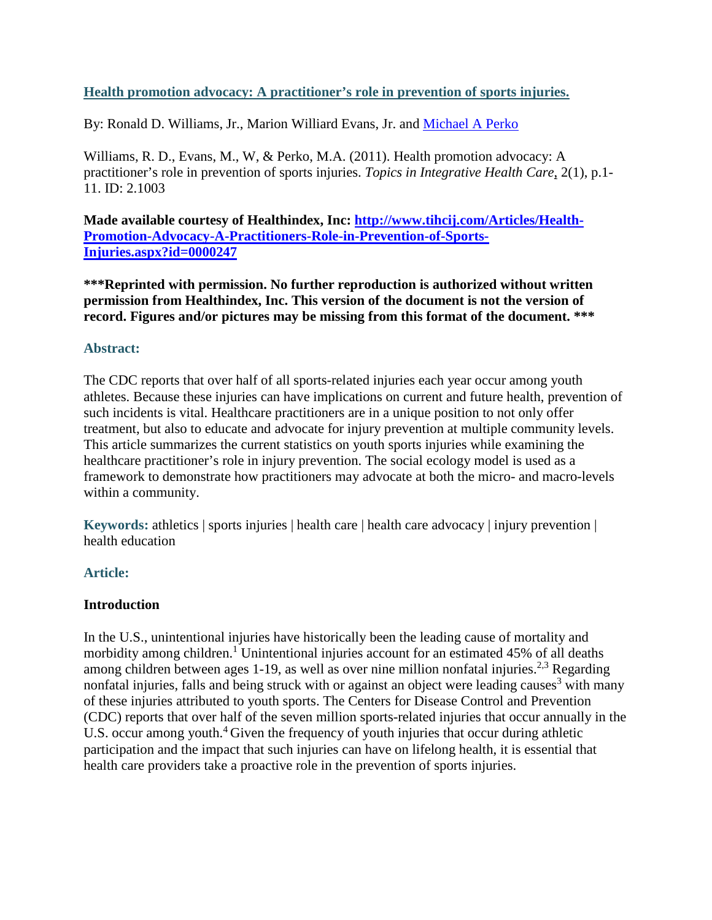## **Health promotion advocacy: A practitioner's role in prevention of sports injuries.**

By: Ronald D. Williams, Jr., Marion Williard Evans, Jr. and [Michael A Perko](http://libres.uncg.edu/ir/uncg/clist.aspx?id=3237)

Williams, R. D., Evans, M., W, & Perko, M.A. (2011). Health promotion advocacy: A practitioner's role in prevention of sports injuries. *Topics in Integrative Health Care*, 2(1), p.1- 11. ID: 2.1003

**Made available courtesy of Healthindex, Inc: [http://www.tihcij.com/Articles/Health-](http://www.tihcij.com/Articles/Health-Promotion-Advocacy-A-Practitioners-Role-in-Prevention-of-Sports-Injuries.aspx?id=0000247)[Promotion-Advocacy-A-Practitioners-Role-in-Prevention-of-Sports-](http://www.tihcij.com/Articles/Health-Promotion-Advocacy-A-Practitioners-Role-in-Prevention-of-Sports-Injuries.aspx?id=0000247)[Injuries.aspx?id=0000247](http://www.tihcij.com/Articles/Health-Promotion-Advocacy-A-Practitioners-Role-in-Prevention-of-Sports-Injuries.aspx?id=0000247)**

**\*\*\*Reprinted with permission. No further reproduction is authorized without written permission from Healthindex, Inc. This version of the document is not the version of record. Figures and/or pictures may be missing from this format of the document. \*\*\***

### **Abstract:**

The CDC reports that over half of all sports-related injuries each year occur among youth athletes. Because these injuries can have implications on current and future health, prevention of such incidents is vital. Healthcare practitioners are in a unique position to not only offer treatment, but also to educate and advocate for injury prevention at multiple community levels. This article summarizes the current statistics on youth sports injuries while examining the healthcare practitioner's role in injury prevention. The social ecology model is used as a framework to demonstrate how practitioners may advocate at both the micro- and macro-levels within a community.

**Keywords:** athletics | sports injuries | health care | health care advocacy | injury prevention | health education

# **Article:**

### **Introduction**

In the U.S., unintentional injuries have historically been the leading cause of mortality and morbidity among children.<sup>1</sup> Unintentional injuries account for an estimated 45% of all deaths among children between ages 1-19, as well as over nine million nonfatal injuries.<sup>2,3</sup> Regarding nonfatal injuries, falls and being struck with or against an object were leading causes<sup>3</sup> with many of these injuries attributed to youth sports. The Centers for Disease Control and Prevention (CDC) reports that over half of the seven million sports-related injuries that occur annually in the U.S. occur among youth.<sup>4</sup> Given the frequency of youth injuries that occur during athletic participation and the impact that such injuries can have on lifelong health, it is essential that health care providers take a proactive role in the prevention of sports injuries.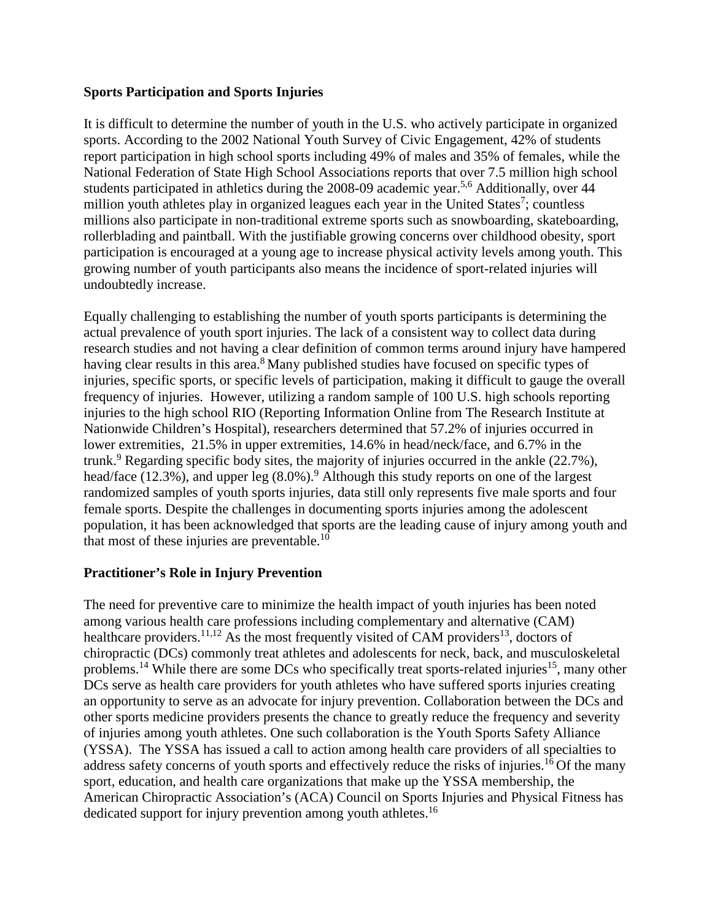### **Sports Participation and Sports Injuries**

It is difficult to determine the number of youth in the U.S. who actively participate in organized sports. According to the 2002 National Youth Survey of Civic Engagement, 42% of students report participation in high school sports including 49% of males and 35% of females, while the National Federation of State High School Associations reports that over 7.5 million high school students participated in athletics during the 2008-09 academic year.<sup>5,6</sup> Additionally, over 44 million youth athletes play in organized leagues each year in the United States<sup>7</sup>; countless millions also participate in non-traditional extreme sports such as snowboarding, skateboarding, rollerblading and paintball. With the justifiable growing concerns over childhood obesity, sport participation is encouraged at a young age to increase physical activity levels among youth. This growing number of youth participants also means the incidence of sport-related injuries will undoubtedly increase.

Equally challenging to establishing the number of youth sports participants is determining the actual prevalence of youth sport injuries. The lack of a consistent way to collect data during research studies and not having a clear definition of common terms around injury have hampered having clear results in this area.<sup>8</sup> Many published studies have focused on specific types of injuries, specific sports, or specific levels of participation, making it difficult to gauge the overall frequency of injuries. However, utilizing a random sample of 100 U.S. high schools reporting injuries to the high school RIO (Reporting Information Online from The Research Institute at Nationwide Children's Hospital), researchers determined that 57.2% of injuries occurred in lower extremities, 21.5% in upper extremities, 14.6% in head/neck/face, and 6.7% in the trunk.<sup>9</sup> Regarding specific body sites, the majority of injuries occurred in the ankle  $(22.7\%)$ , head/face (12.3%), and upper leg  $(8.0\%)$ .<sup>9</sup> Although this study reports on one of the largest randomized samples of youth sports injuries, data still only represents five male sports and four female sports. Despite the challenges in documenting sports injuries among the adolescent population, it has been acknowledged that sports are the leading cause of injury among youth and that most of these injuries are preventable. $10$ 

### **Practitioner's Role in Injury Prevention**

The need for preventive care to minimize the health impact of youth injuries has been noted among various health care professions including complementary and alternative (CAM) healthcare providers.<sup>11,12</sup> As the most frequently visited of CAM providers<sup>13</sup>, doctors of chiropractic (DCs) commonly treat athletes and adolescents for neck, back, and musculoskeletal problems.<sup>14</sup> While there are some DCs who specifically treat sports-related injuries<sup>15</sup>, many other DCs serve as health care providers for youth athletes who have suffered sports injuries creating an opportunity to serve as an advocate for injury prevention. Collaboration between the DCs and other sports medicine providers presents the chance to greatly reduce the frequency and severity of injuries among youth athletes. One such collaboration is the Youth Sports Safety Alliance (YSSA). The YSSA has issued a call to action among health care providers of all specialties to address safety concerns of youth sports and effectively reduce the risks of injuries.<sup>16</sup> Of the many sport, education, and health care organizations that make up the YSSA membership, the American Chiropractic Association's (ACA) Council on Sports Injuries and Physical Fitness has dedicated support for injury prevention among youth athletes.<sup>16</sup>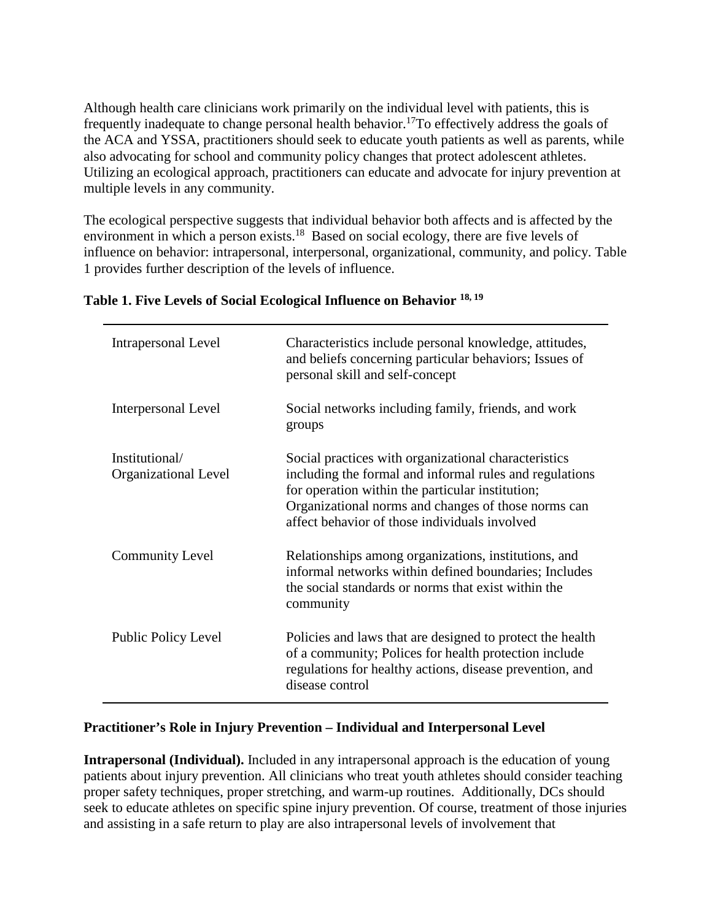Although health care clinicians work primarily on the individual level with patients, this is frequently inadequate to change personal health behavior.<sup>17</sup>To effectively address the goals of the ACA and YSSA, practitioners should seek to educate youth patients as well as parents, while also advocating for school and community policy changes that protect adolescent athletes. Utilizing an ecological approach, practitioners can educate and advocate for injury prevention at multiple levels in any community.

The ecological perspective suggests that individual behavior both affects and is affected by the environment in which a person exists.<sup>18</sup> Based on social ecology, there are five levels of influence on behavior: intrapersonal, interpersonal, organizational, community, and policy. Table 1 provides further description of the levels of influence.

| <b>Intrapersonal Level</b>             | Characteristics include personal knowledge, attitudes,<br>and beliefs concerning particular behaviors; Issues of<br>personal skill and self-concept                                                                                                                         |
|----------------------------------------|-----------------------------------------------------------------------------------------------------------------------------------------------------------------------------------------------------------------------------------------------------------------------------|
| <b>Interpersonal Level</b>             | Social networks including family, friends, and work<br>groups                                                                                                                                                                                                               |
| Institutional/<br>Organizational Level | Social practices with organizational characteristics<br>including the formal and informal rules and regulations<br>for operation within the particular institution;<br>Organizational norms and changes of those norms can<br>affect behavior of those individuals involved |
| <b>Community Level</b>                 | Relationships among organizations, institutions, and<br>informal networks within defined boundaries; Includes<br>the social standards or norms that exist within the<br>community                                                                                           |
| <b>Public Policy Level</b>             | Policies and laws that are designed to protect the health<br>of a community; Polices for health protection include<br>regulations for healthy actions, disease prevention, and<br>disease control                                                                           |

### **Table 1. Five Levels of Social Ecological Influence on Behavior 18, 19**

#### **Practitioner's Role in Injury Prevention – Individual and Interpersonal Level**

**Intrapersonal (Individual).** Included in any intrapersonal approach is the education of young patients about injury prevention. All clinicians who treat youth athletes should consider teaching proper safety techniques, proper stretching, and warm-up routines. Additionally, DCs should seek to educate athletes on specific spine injury prevention. Of course, treatment of those injuries and assisting in a safe return to play are also intrapersonal levels of involvement that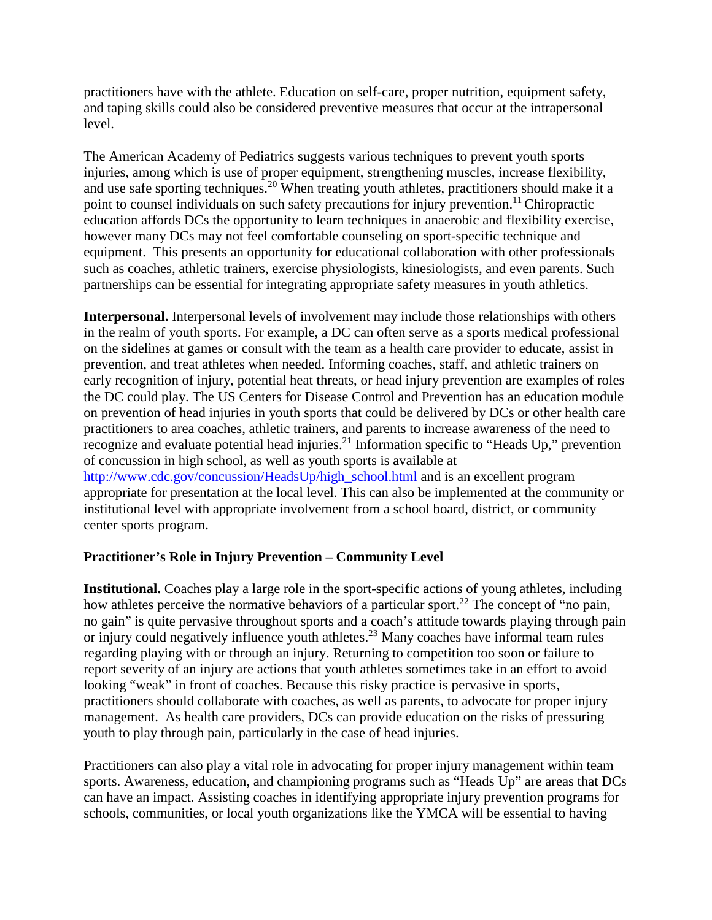practitioners have with the athlete. Education on self-care, proper nutrition, equipment safety, and taping skills could also be considered preventive measures that occur at the intrapersonal level.

The American Academy of Pediatrics suggests various techniques to prevent youth sports injuries, among which is use of proper equipment, strengthening muscles, increase flexibility, and use safe sporting techniques.20 When treating youth athletes, practitioners should make it a point to counsel individuals on such safety precautions for injury prevention.<sup>11</sup> Chiropractic education affords DCs the opportunity to learn techniques in anaerobic and flexibility exercise, however many DCs may not feel comfortable counseling on sport-specific technique and equipment. This presents an opportunity for educational collaboration with other professionals such as coaches, athletic trainers, exercise physiologists, kinesiologists, and even parents. Such partnerships can be essential for integrating appropriate safety measures in youth athletics.

**Interpersonal.** Interpersonal levels of involvement may include those relationships with others in the realm of youth sports. For example, a DC can often serve as a sports medical professional on the sidelines at games or consult with the team as a health care provider to educate, assist in prevention, and treat athletes when needed. Informing coaches, staff, and athletic trainers on early recognition of injury, potential heat threats, or head injury prevention are examples of roles the DC could play. The US Centers for Disease Control and Prevention has an education module on prevention of head injuries in youth sports that could be delivered by DCs or other health care practitioners to area coaches, athletic trainers, and parents to increase awareness of the need to recognize and evaluate potential head injuries.<sup>21</sup> Information specific to "Heads Up," prevention of concussion in high school, as well as youth sports is available at [http://www.cdc.gov/concussion/HeadsUp/high\\_school.html](http://www.cdc.gov/concussion/HeadsUp/high_school.html) and is an excellent program appropriate for presentation at the local level. This can also be implemented at the community or institutional level with appropriate involvement from a school board, district, or community center sports program.

### **Practitioner's Role in Injury Prevention – Community Level**

**Institutional.** Coaches play a large role in the sport-specific actions of young athletes, including how athletes perceive the normative behaviors of a particular sport.<sup>22</sup> The concept of "no pain, no gain" is quite pervasive throughout sports and a coach's attitude towards playing through pain or injury could negatively influence youth athletes.<sup>23</sup> Many coaches have informal team rules regarding playing with or through an injury. Returning to competition too soon or failure to report severity of an injury are actions that youth athletes sometimes take in an effort to avoid looking "weak" in front of coaches. Because this risky practice is pervasive in sports, practitioners should collaborate with coaches, as well as parents, to advocate for proper injury management. As health care providers, DCs can provide education on the risks of pressuring youth to play through pain, particularly in the case of head injuries.

Practitioners can also play a vital role in advocating for proper injury management within team sports. Awareness, education, and championing programs such as "Heads Up" are areas that DCs can have an impact. Assisting coaches in identifying appropriate injury prevention programs for schools, communities, or local youth organizations like the YMCA will be essential to having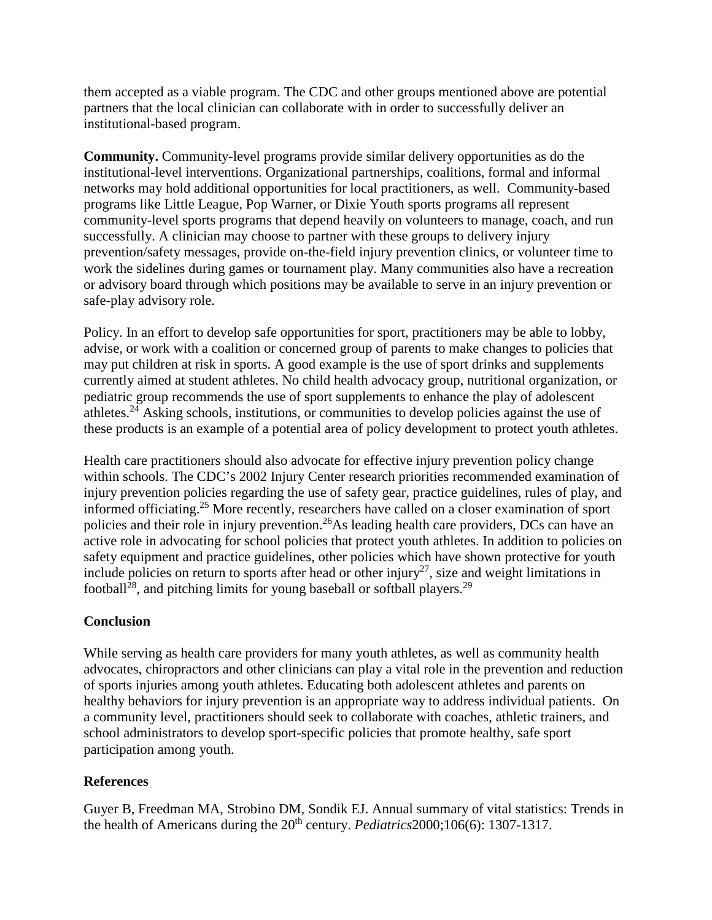them accepted as a viable program. The CDC and other groups mentioned above are potential partners that the local clinician can collaborate with in order to successfully deliver an institutional-based program.

**Community.** Community-level programs provide similar delivery opportunities as do the institutional-level interventions. Organizational partnerships, coalitions, formal and informal networks may hold additional opportunities for local practitioners, as well. Community-based programs like Little League, Pop Warner, or Dixie Youth sports programs all represent community-level sports programs that depend heavily on volunteers to manage, coach, and run successfully. A clinician may choose to partner with these groups to delivery injury prevention/safety messages, provide on-the-field injury prevention clinics, or volunteer time to work the sidelines during games or tournament play. Many communities also have a recreation or advisory board through which positions may be available to serve in an injury prevention or safe-play advisory role.

Policy. In an effort to develop safe opportunities for sport, practitioners may be able to lobby, advise, or work with a coalition or concerned group of parents to make changes to policies that may put children at risk in sports. A good example is the use of sport drinks and supplements currently aimed at student athletes. No child health advocacy group, nutritional organization, or pediatric group recommends the use of sport supplements to enhance the play of adolescent athletes.<sup>24</sup> Asking schools, institutions, or communities to develop policies against the use of these products is an example of a potential area of policy development to protect youth athletes.

Health care practitioners should also advocate for effective injury prevention policy change within schools. The CDC's 2002 Injury Center research priorities recommended examination of injury prevention policies regarding the use of safety gear, practice guidelines, rules of play, and informed officiating.25 More recently, researchers have called on a closer examination of sport policies and their role in injury prevention.<sup>26</sup>As leading health care providers, DCs can have an active role in advocating for school policies that protect youth athletes. In addition to policies on safety equipment and practice guidelines, other policies which have shown protective for youth include policies on return to sports after head or other injury<sup>27</sup>, size and weight limitations in football<sup>28</sup>, and pitching limits for young baseball or softball players.<sup>29</sup>

### **Conclusion**

While serving as health care providers for many youth athletes, as well as community health advocates, chiropractors and other clinicians can play a vital role in the prevention and reduction of sports injuries among youth athletes. Educating both adolescent athletes and parents on healthy behaviors for injury prevention is an appropriate way to address individual patients. On a community level, practitioners should seek to collaborate with coaches, athletic trainers, and school administrators to develop sport-specific policies that promote healthy, safe sport participation among youth.

### **References**

Guyer B, Freedman MA, Strobino DM, Sondik EJ. Annual summary of vital statistics: Trends in the health of Americans during the 20th century. *Pediatrics*2000;106(6): 1307-1317.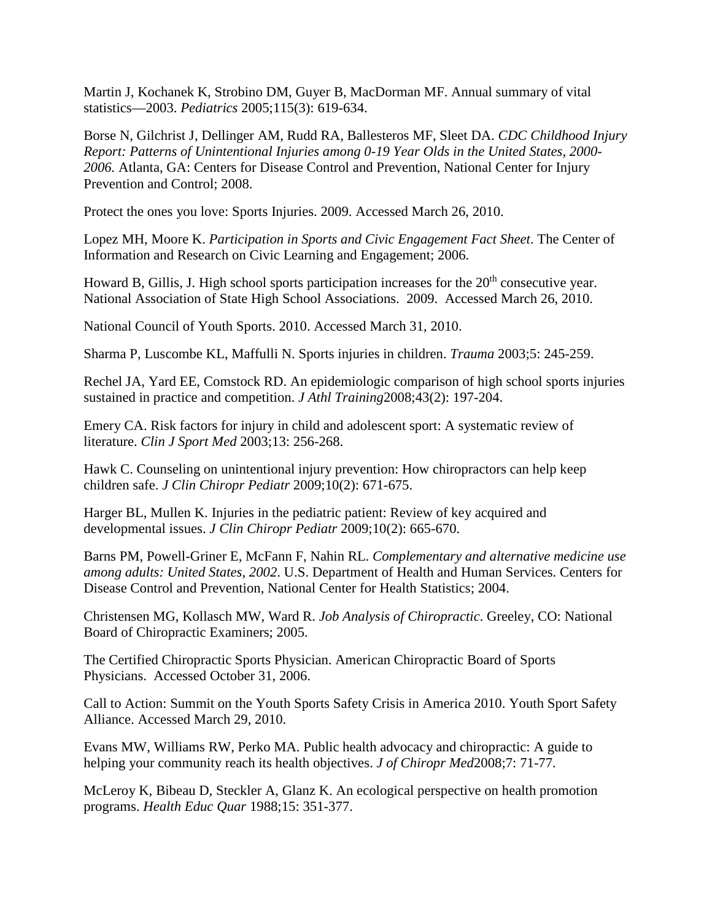Martin J, Kochanek K, Strobino DM, Guyer B, MacDorman MF. Annual summary of vital statistics—2003. *Pediatrics* 2005;115(3): 619-634.

Borse N, Gilchrist J, Dellinger AM, Rudd RA, Ballesteros MF, Sleet DA. *CDC Childhood Injury Report: Patterns of Unintentional Injuries among 0-19 Year Olds in the United States, 2000- 2006.* Atlanta, GA: Centers for Disease Control and Prevention, National Center for Injury Prevention and Control; 2008.

Protect the ones you love: Sports Injuries. 2009. Accessed March 26, 2010.

Lopez MH, Moore K. *Participation in Sports and Civic Engagement Fact Sheet*. The Center of Information and Research on Civic Learning and Engagement; 2006.

Howard B, Gillis, J. High school sports participation increases for the  $20<sup>th</sup>$  consecutive year. National Association of State High School Associations. 2009. Accessed March 26, 2010.

National Council of Youth Sports. 2010. Accessed March 31, 2010.

Sharma P, Luscombe KL, Maffulli N. Sports injuries in children. *Trauma* 2003;5: 245-259.

Rechel JA, Yard EE, Comstock RD. An epidemiologic comparison of high school sports injuries sustained in practice and competition. *J Athl Training*2008;43(2): 197-204.

Emery CA. Risk factors for injury in child and adolescent sport: A systematic review of literature. *Clin J Sport Med* 2003;13: 256-268.

Hawk C. Counseling on unintentional injury prevention: How chiropractors can help keep children safe. *J Clin Chiropr Pediatr* 2009;10(2): 671-675.

Harger BL, Mullen K. Injuries in the pediatric patient: Review of key acquired and developmental issues. *J Clin Chiropr Pediatr* 2009;10(2): 665-670.

Barns PM, Powell-Griner E, McFann F, Nahin RL. *Complementary and alternative medicine use among adults: United States, 2002*. U.S. Department of Health and Human Services. Centers for Disease Control and Prevention, National Center for Health Statistics; 2004.

Christensen MG, Kollasch MW, Ward R. *Job Analysis of Chiropractic*. Greeley, CO: National Board of Chiropractic Examiners; 2005.

The Certified Chiropractic Sports Physician. American Chiropractic Board of Sports Physicians. Accessed October 31, 2006.

Call to Action: Summit on the Youth Sports Safety Crisis in America 2010. Youth Sport Safety Alliance. Accessed March 29, 2010.

Evans MW, Williams RW, Perko MA. Public health advocacy and chiropractic: A guide to helping your community reach its health objectives. *J of Chiropr Med*2008;7: 71-77.

McLeroy K, Bibeau D, Steckler A, Glanz K. An ecological perspective on health promotion programs. *Health Educ Quar* 1988;15: 351-377.